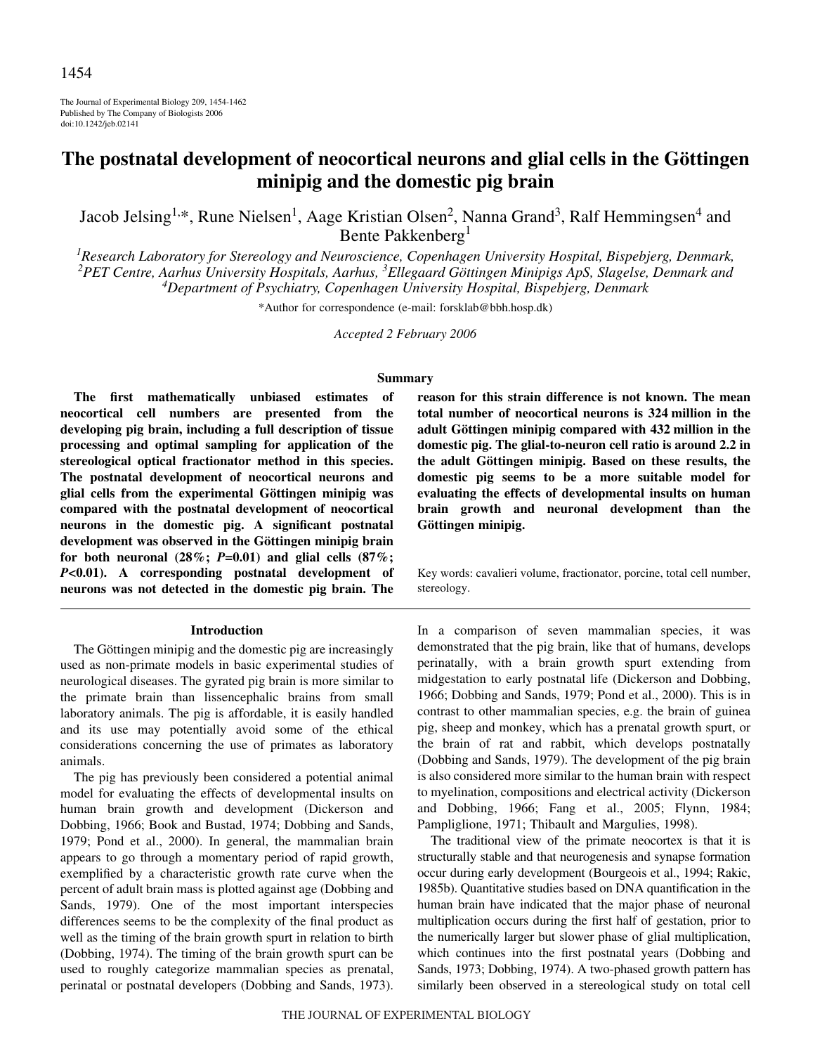The Journal of Experimental Biology 209, 1454-1462 Published by The Company of Biologists 2006 doi:10.1242/jeb.02141

# **The postnatal development of neocortical neurons and glial cells in the Göttingen minipig and the domestic pig brain**

Jacob Jelsing<sup>1,\*</sup>, Rune Nielsen<sup>1</sup>, Aage Kristian Olsen<sup>2</sup>, Nanna Grand<sup>3</sup>, Ralf Hemmingsen<sup>4</sup> and Bente Pakkenberg<sup>1</sup>

*1 Research Laboratory for Stereology and Neuroscience, Copenhagen University Hospital, Bispebjerg, Denmark, 2 PET Centre, Aarhus University Hospitals, Aarhus, <sup>3</sup> Ellegaard Göttingen Minipigs ApS, Slagelse, Denmark and 4 Department of Psychiatry, Copenhagen University Hospital, Bispebjerg, Denmark*

\*Author for correspondence (e-mail: forsklab@bbh.hosp.dk)

*Accepted 2 February 2006*

### **Summary**

**The first mathematically unbiased estimates of neocortical cell numbers are presented from the developing pig brain, including a full description of tissue processing and optimal sampling for application of the stereological optical fractionator method in this species. The postnatal development of neocortical neurons and glial cells from the experimental Göttingen minipig was compared with the postnatal development of neocortical neurons in the domestic pig. A significant postnatal development was observed in the Göttingen minipig brain** for both neuronal  $(28\%; P=0.01)$  and glial cells  $(87\%;$ *P***<0.01). A corresponding postnatal development of neurons was not detected in the domestic pig brain. The**

#### **Introduction**

The Göttingen minipig and the domestic pig are increasingly used as non-primate models in basic experimental studies of neurological diseases. The gyrated pig brain is more similar to the primate brain than lissencephalic brains from small laboratory animals. The pig is affordable, it is easily handled and its use may potentially avoid some of the ethical considerations concerning the use of primates as laboratory animals.

The pig has previously been considered a potential animal model for evaluating the effects of developmental insults on human brain growth and development (Dickerson and Dobbing, 1966; Book and Bustad, 1974; Dobbing and Sands, 1979; Pond et al., 2000). In general, the mammalian brain appears to go through a momentary period of rapid growth, exemplified by a characteristic growth rate curve when the percent of adult brain mass is plotted against age (Dobbing and Sands, 1979). One of the most important interspecies differences seems to be the complexity of the final product as well as the timing of the brain growth spurt in relation to birth (Dobbing, 1974). The timing of the brain growth spurt can be used to roughly categorize mammalian species as prenatal, perinatal or postnatal developers (Dobbing and Sands, 1973).

**reason for this strain difference is not known. The mean total number of neocortical neurons is 324·million in the adult Göttingen minipig compared with 432·million in the domestic pig. The glial-to-neuron cell ratio is around 2.2 in the adult Göttingen minipig. Based on these results, the domestic pig seems to be a more suitable model for evaluating the effects of developmental insults on human brain growth and neuronal development than the Göttingen minipig.**

Key words: cavalieri volume, fractionator, porcine, total cell number, stereology.

In a comparison of seven mammalian species, it was demonstrated that the pig brain, like that of humans, develops perinatally, with a brain growth spurt extending from midgestation to early postnatal life (Dickerson and Dobbing, 1966; Dobbing and Sands, 1979; Pond et al., 2000). This is in contrast to other mammalian species, e.g. the brain of guinea pig, sheep and monkey, which has a prenatal growth spurt, or the brain of rat and rabbit, which develops postnatally (Dobbing and Sands, 1979). The development of the pig brain is also considered more similar to the human brain with respect to myelination, compositions and electrical activity (Dickerson and Dobbing, 1966; Fang et al., 2005; Flynn, 1984; Pampliglione, 1971; Thibault and Margulies, 1998).

The traditional view of the primate neocortex is that it is structurally stable and that neurogenesis and synapse formation occur during early development (Bourgeois et al., 1994; Rakic, 1985b). Quantitative studies based on DNA quantification in the human brain have indicated that the major phase of neuronal multiplication occurs during the first half of gestation, prior to the numerically larger but slower phase of glial multiplication, which continues into the first postnatal years (Dobbing and Sands, 1973; Dobbing, 1974). A two-phased growth pattern has similarly been observed in a stereological study on total cell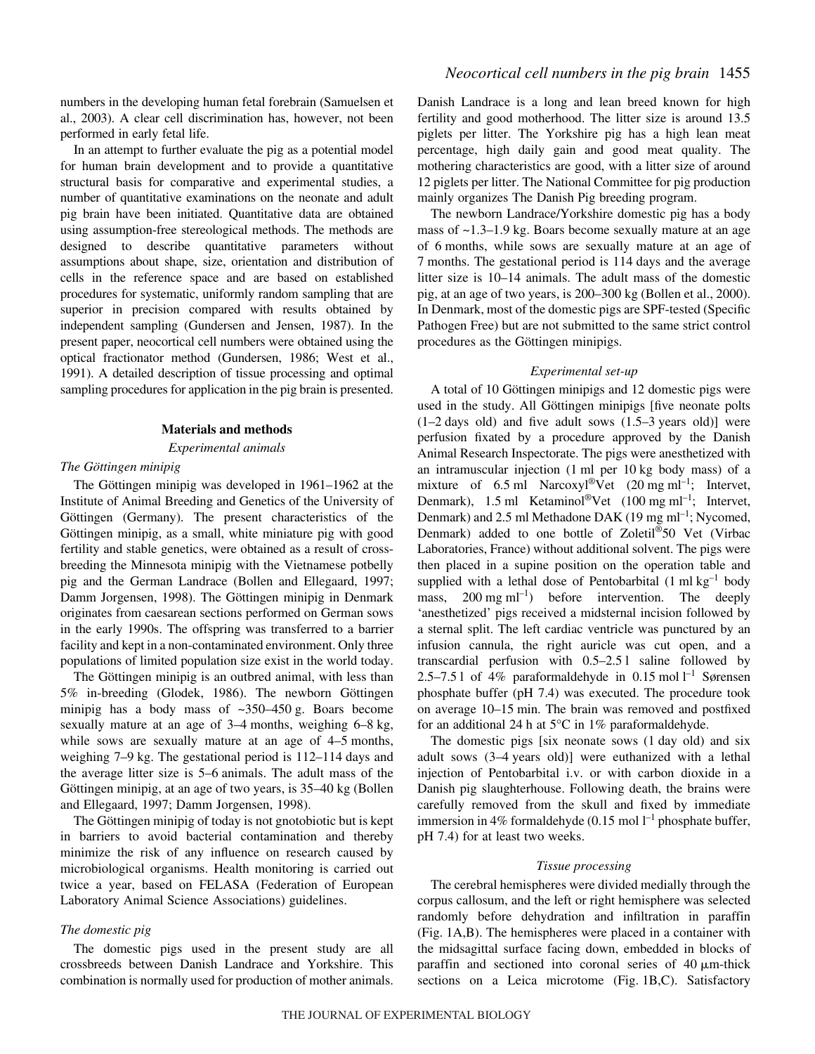numbers in the developing human fetal forebrain (Samuelsen et al., 2003). A clear cell discrimination has, however, not been performed in early fetal life.

In an attempt to further evaluate the pig as a potential model for human brain development and to provide a quantitative structural basis for comparative and experimental studies, a number of quantitative examinations on the neonate and adult pig brain have been initiated. Quantitative data are obtained using assumption-free stereological methods. The methods are designed to describe quantitative parameters without assumptions about shape, size, orientation and distribution of cells in the reference space and are based on established procedures for systematic, uniformly random sampling that are superior in precision compared with results obtained by independent sampling (Gundersen and Jensen, 1987). In the present paper, neocortical cell numbers were obtained using the optical fractionator method (Gundersen, 1986; West et al., 1991). A detailed description of tissue processing and optimal sampling procedures for application in the pig brain is presented.

#### **Materials and methods**

#### *Experimental animals*

# *The Göttingen minipig*

The Göttingen minipig was developed in 1961–1962 at the Institute of Animal Breeding and Genetics of the University of Göttingen (Germany). The present characteristics of the Göttingen minipig, as a small, white miniature pig with good fertility and stable genetics, were obtained as a result of crossbreeding the Minnesota minipig with the Vietnamese potbelly pig and the German Landrace (Bollen and Ellegaard, 1997; Damm Jorgensen, 1998). The Göttingen minipig in Denmark originates from caesarean sections performed on German sows in the early 1990s. The offspring was transferred to a barrier facility and kept in a non-contaminated environment. Only three populations of limited population size exist in the world today.

The Göttingen minipig is an outbred animal, with less than 5% in-breeding (Glodek, 1986). The newborn Göttingen minipig has a body mass of  $\approx$ 350–450 g. Boars become sexually mature at an age of  $3-4$  months, weighing  $6-8$  kg, while sows are sexually mature at an age of  $4-5$  months, weighing  $7-9$  kg. The gestational period is  $112-114$  days and the average litter size is 5–6 animals. The adult mass of the Göttingen minipig, at an age of two years, is 35–40 kg (Bollen and Ellegaard, 1997; Damm Jorgensen, 1998).

The Göttingen minipig of today is not gnotobiotic but is kept in barriers to avoid bacterial contamination and thereby minimize the risk of any influence on research caused by microbiological organisms. Health monitoring is carried out twice a year, based on FELASA (Federation of European Laboratory Animal Science Associations) guidelines.

#### *The domestic pig*

The domestic pigs used in the present study are all crossbreeds between Danish Landrace and Yorkshire. This combination is normally used for production of mother animals.

Danish Landrace is a long and lean breed known for high fertility and good motherhood. The litter size is around 13.5 piglets per litter. The Yorkshire pig has a high lean meat percentage, high daily gain and good meat quality. The mothering characteristics are good, with a litter size of around 12 piglets per litter. The National Committee for pig production mainly organizes The Danish Pig breeding program.

The newborn Landrace/Yorkshire domestic pig has a body mass of  $\sim$ 1.3–1.9 kg. Boars become sexually mature at an age of 6 months, while sows are sexually mature at an age of 7 months. The gestational period is 114 days and the average litter size is 10–14 animals. The adult mass of the domestic pig, at an age of two years, is 200–300 kg (Bollen et al., 2000). In Denmark, most of the domestic pigs are SPF-tested (Specific Pathogen Free) but are not submitted to the same strict control procedures as the Göttingen minipigs.

#### *Experimental set-up*

A total of 10 Göttingen minipigs and 12 domestic pigs were used in the study. All Göttingen minipigs [five neonate polts  $(1-2 \text{ days old})$  and five adult sows  $(1.5-3 \text{ years old})$  were perfusion fixated by a procedure approved by the Danish Animal Research Inspectorate. The pigs were anesthetized with an intramuscular injection  $(1 \text{ ml per } 10 \text{ kg body mass})$  of a mixture of 6.5 ml Narcoxyl®Vet  $(20 \text{ mg ml}^{-1})$ ; Intervet, Denmark), 1.5 ml Ketaminol<sup>®</sup>Vet  $(100 \text{ mg ml}^{-1})$ ; Intervet, Denmark) and 2.5 ml Methadone DAK (19 mg ml<sup>-1</sup>; Nycomed, Denmark) added to one bottle of Zoletil®50 Vet (Virbac Laboratories, France) without additional solvent. The pigs were then placed in a supine position on the operation table and supplied with a lethal dose of Pentobarbital  $(1 \text{ ml kg}^{-1}$  body mass,  $200 \text{ mg ml}^{-1}$ ) before intervention. The deeply 'anesthetized' pigs received a midsternal incision followed by a sternal split. The left cardiac ventricle was punctured by an infusion cannula, the right auricle was cut open, and a transcardial perfusion with  $0.5-2.51$  saline followed by 2.5–7.5 l of 4% paraformaldehyde in 0.15 mol  $l^{-1}$  Sørensen phosphate buffer (pH 7.4) was executed. The procedure took on average 10–15 min. The brain was removed and postfixed for an additional 24 h at  $5^{\circ}$ C in 1% paraformaldehyde.

The domestic pigs  $[six \text{ neonate}$  sows  $(1 \text{ day} \text{ old})$  and six adult sows (3-4 years old)] were euthanized with a lethal injection of Pentobarbital i.v. or with carbon dioxide in a Danish pig slaughterhouse. Following death, the brains were carefully removed from the skull and fixed by immediate immersion in 4% formaldehyde  $(0.15 \text{ mol } l^{-1}$  phosphate buffer, pH 7.4) for at least two weeks.

#### *Tissue processing*

The cerebral hemispheres were divided medially through the corpus callosum, and the left or right hemisphere was selected randomly before dehydration and infiltration in paraffin (Fig. 1A,B). The hemispheres were placed in a container with the midsagittal surface facing down, embedded in blocks of paraffin and sectioned into coronal series of  $40 \mu$ m-thick sections on a Leica microtome (Fig. 1B,C). Satisfactory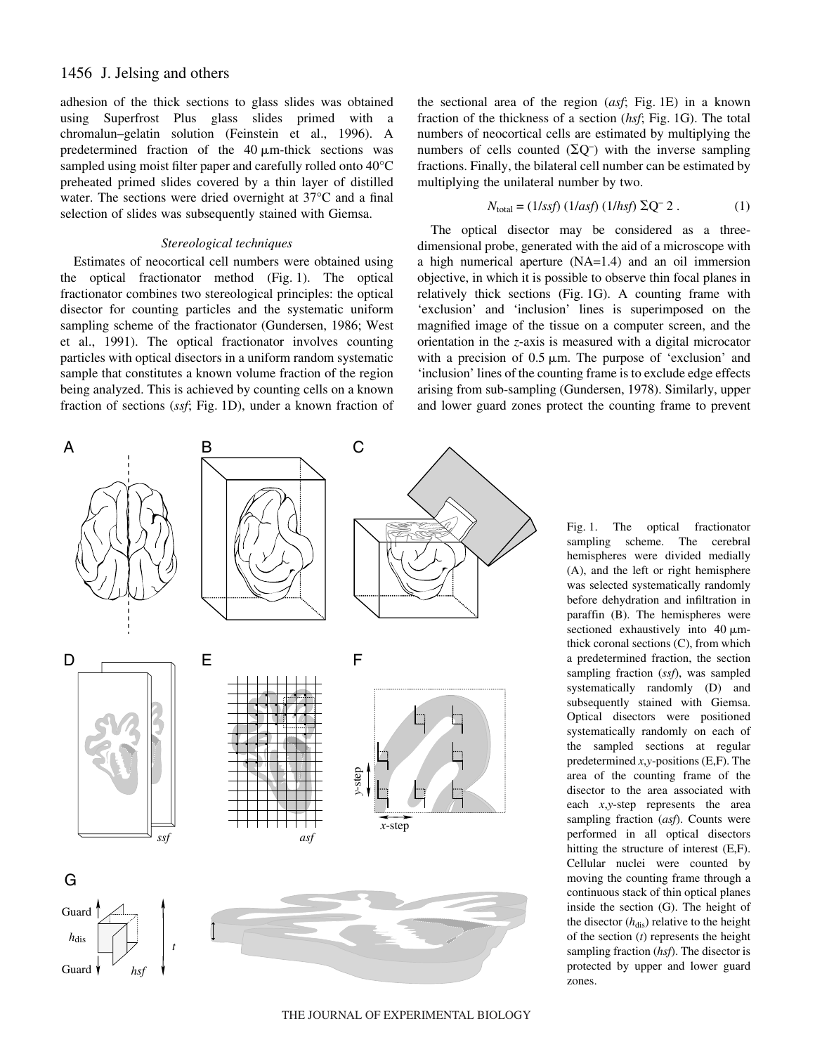# 1456 J. Jelsing and others

adhesion of the thick sections to glass slides was obtained using Superfrost Plus glass slides primed with a chromalun–gelatin solution (Feinstein et al., 1996). A predetermined fraction of the  $40 \mu$ m-thick sections was sampled using moist filter paper and carefully rolled onto 40°C preheated primed slides covered by a thin layer of distilled water. The sections were dried overnight at 37°C and a final selection of slides was subsequently stained with Giemsa.

# *Stereological techniques*

Estimates of neocortical cell numbers were obtained using the optical fractionator method (Fig. 1). The optical fractionator combines two stereological principles: the optical disector for counting particles and the systematic uniform sampling scheme of the fractionator (Gundersen, 1986; West et al., 1991). The optical fractionator involves counting particles with optical disectors in a uniform random systematic sample that constitutes a known volume fraction of the region being analyzed. This is achieved by counting cells on a known fraction of sections (ssf; Fig. 1D), under a known fraction of

A B C

B

the sectional area of the region (asf; Fig. 1E) in a known fraction of the thickness of a section (*hsf*; Fig. 1G). The total numbers of neocortical cells are estimated by multiplying the numbers of cells counted  $(\Sigma Q^-)$  with the inverse sampling fractions. Finally, the bilateral cell number can be estimated by multiplying the unilateral number by two.

$$
N_{\text{total}} = (1/ssf) (1/ssf) (1/hsf) \Sigma Q^{-2} . \tag{1}
$$

The optical disector may be considered as a threedimensional probe, generated with the aid of a microscope with a high numerical aperture (NA=1.4) and an oil immersion objective, in which it is possible to observe thin focal planes in relatively thick sections (Fig. 1G). A counting frame with 'exclusion' and 'inclusion' lines is superimposed on the magnified image of the tissue on a computer screen, and the orientation in the *z*-axis is measured with a digital microcator with a precision of  $0.5 \mu m$ . The purpose of 'exclusion' and 'inclusion' lines of the counting frame is to exclude edge effects arising from sub-sampling (Gundersen, 1978). Similarly, upper and lower guard zones protect the counting frame to prevent



THE JOURNAL OF EXPERIMENTAL BIOLOGY

Fig. 1. The optical fractionator sampling scheme. The cerebral hemispheres were divided medially (A), and the left or right hemisphere was selected systematically randomly before dehydration and infiltration in paraffin (B). The hemispheres were sectioned exhaustively into  $40 \mu m$ thick coronal sections (C), from which a predetermined fraction, the section sampling fraction (*ssf*), was sampled systematically randomly (D) and subsequently stained with Giemsa. Optical disectors were positioned systematically randomly on each of the sampled sections at regular predetermined *x*,*y*-positions (E,F). The area of the counting frame of the disector to the area associated with each *x*,*y*-step represents the area sampling fraction (*asf*). Counts were performed in all optical disectors hitting the structure of interest (E,F). Cellular nuclei were counted by moving the counting frame through a continuous stack of thin optical planes inside the section (G). The height of the disector  $(h_{dis})$  relative to the height of the section (*t*) represents the height sampling fraction (*hsf*). The disector is protected by upper and lower guard zones.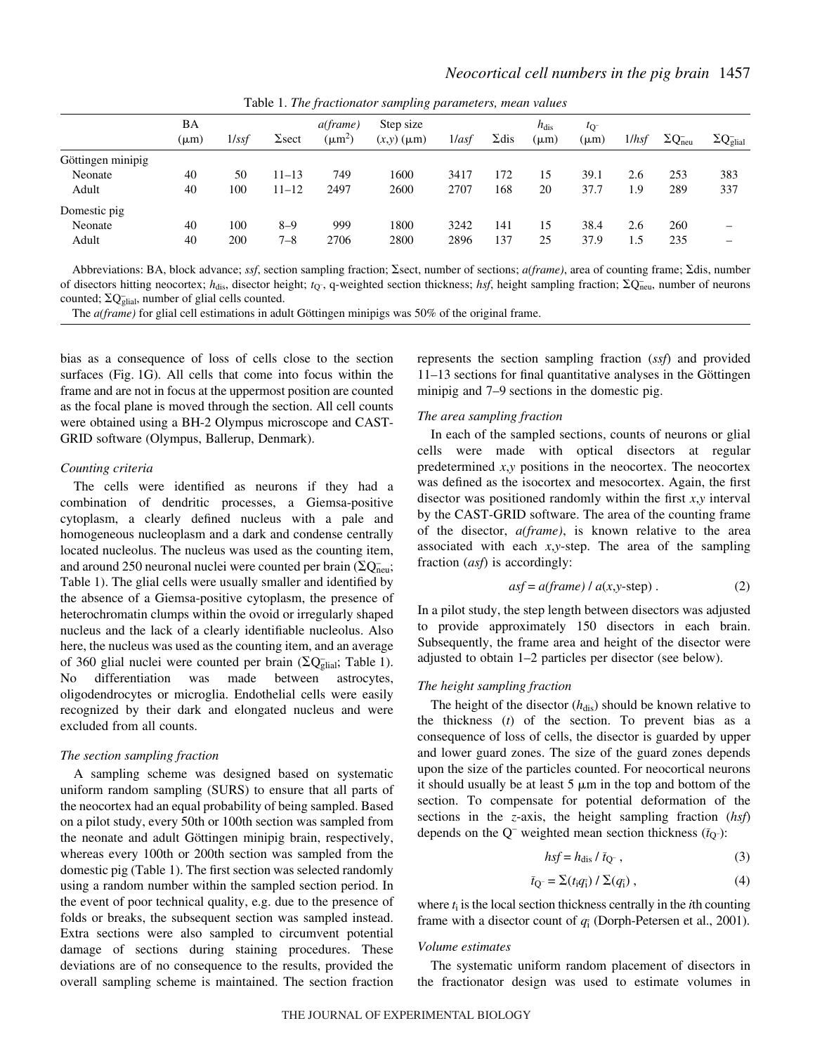|                   | BA<br>$(\mu m)$ | 1/ssf | $\Sigma$ sect | a(frame)<br>$(\mu m^2)$ | Step size<br>$(x,y)$ ( $\mu$ m) | 1/asf | $\Sigma$ dis | $h_{\text{dis}}$<br>$(\mu m)$ | $t_{\rm O}$<br>$(\mu m)$ | 1/hsf | $\Sigma Q^-$ <sub>neu</sub> | $\Sigma Q_{\text{glial}}^-$ |
|-------------------|-----------------|-------|---------------|-------------------------|---------------------------------|-------|--------------|-------------------------------|--------------------------|-------|-----------------------------|-----------------------------|
| Göttingen minipig |                 |       |               |                         |                                 |       |              |                               |                          |       |                             |                             |
| Neonate           | 40              | 50    | $11 - 13$     | 749                     | 1600                            | 3417  | 172          | 15                            | 39.1                     | 2.6   | 253                         | 383                         |
| Adult             | 40              | 100   | $11 - 12$     | 2497                    | 2600                            | 2707  | 168          | 20                            | 37.7                     | 1.9   | 289                         | 337                         |
| Domestic pig      |                 |       |               |                         |                                 |       |              |                               |                          |       |                             |                             |
| Neonate           | 40              | 100   | $8 - 9$       | 999                     | 1800                            | 3242  | 141          | 15                            | 38.4                     | 2.6   | 260                         | –                           |
| Adult             | 40              | 200   | $7 - 8$       | 2706                    | 2800                            | 2896  | 137          | 25                            | 37.9                     | 1.5   | 235                         | –                           |
|                   |                 |       |               |                         |                                 |       |              |                               |                          |       |                             |                             |

Table 1. *The fractionator sampling parameters, mean values*

Abbreviations: BA, block advance; *ssf*, section sampling fraction;  $\Sigma$ sect, number of sections; *a(frame)*, area of counting frame;  $\Sigma$ dis, number of disectors hitting neocortex;  $h_{dis}$ , disector height;  $t_{Q}$ , q-weighted section thickness; *hsf*, height sampling fraction;  $\Sigma Q_{neu}$ , number of neurons counted;  $\Sigma Q_{\text{glial}}$ , number of glial cells counted.

The *a(frame)* for glial cell estimations in adult Göttingen minipigs was 50% of the original frame.

bias as a consequence of loss of cells close to the section surfaces (Fig. 1G). All cells that come into focus within the frame and are not in focus at the uppermost position are counted as the focal plane is moved through the section. All cell counts were obtained using a BH-2 Olympus microscope and CAST-GRID software (Olympus, Ballerup, Denmark).

### *Counting criteria*

The cells were identified as neurons if they had a combination of dendritic processes, a Giemsa-positive cytoplasm, a clearly defined nucleus with a pale and homogeneous nucleoplasm and a dark and condense centrally located nucleolus. The nucleus was used as the counting item, and around 250 neuronal nuclei were counted per brain  $(\Sigma Q_{\text{neu}})$ ; Table 1). The glial cells were usually smaller and identified by the absence of a Giemsa-positive cytoplasm, the presence of heterochromatin clumps within the ovoid or irregularly shaped nucleus and the lack of a clearly identifiable nucleolus. Also here, the nucleus was used as the counting item, and an average of 360 glial nuclei were counted per brain ( $\overline{\text{Q}}\text{Q}^-_{\text{glial}}$ ; Table 1). No differentiation was made between astrocytes, oligodendrocytes or microglia. Endothelial cells were easily recognized by their dark and elongated nucleus and were excluded from all counts.

## *The section sampling fraction*

A sampling scheme was designed based on systematic uniform random sampling (SURS) to ensure that all parts of the neocortex had an equal probability of being sampled. Based on a pilot study, every 50th or 100th section was sampled from the neonate and adult Göttingen minipig brain, respectively, whereas every 100th or 200th section was sampled from the domestic pig (Table 1). The first section was selected randomly using a random number within the sampled section period. In the event of poor technical quality, e.g. due to the presence of folds or breaks, the subsequent section was sampled instead. Extra sections were also sampled to circumvent potential damage of sections during staining procedures. These deviations are of no consequence to the results, provided the overall sampling scheme is maintained. The section fraction

represents the section sampling fraction (*ssf*) and provided 11–13 sections for final quantitative analyses in the Göttingen minipig and 7–9 sections in the domestic pig.

# *The area sampling fraction*

In each of the sampled sections, counts of neurons or glial cells were made with optical disectors at regular predetermined *x*,*y* positions in the neocortex. The neocortex was defined as the isocortex and mesocortex. Again, the first disector was positioned randomly within the first *x*,*y* interval by the CAST-GRID software. The area of the counting frame of the disector, *a(frame)*, is known relative to the area associated with each *x*,*y*-step. The area of the sampling fraction (*asf*) is accordingly:

$$
asf = a(frame) / a(x, y-step).
$$
 (2)

In a pilot study, the step length between disectors was adjusted to provide approximately 150 disectors in each brain. Subsequently, the frame area and height of the disector were adjusted to obtain 1–2 particles per disector (see below).

# *The height sampling fraction*

The height of the disector  $(h_{dis})$  should be known relative to the thickness (*t*) of the section. To prevent bias as a consequence of loss of cells, the disector is guarded by upper and lower guard zones. The size of the guard zones depends upon the size of the particles counted. For neocortical neurons it should usually be at least  $5 \mu m$  in the top and bottom of the section. To compensate for potential deformation of the sections in the *z*-axis, the height sampling fraction (*hsf*) depends on the  $Q^-$  weighted mean section thickness  $(\bar{t}_Q^-)$ :

$$
hsf = h_{dis} / \bar{t}_{Q}, \qquad (3)
$$

$$
\bar{t}_{Q^-} = \sum (t_i q_{\bar{i}}) / \sum (q_{\bar{i}}) , \qquad (4)
$$

where  $t_i$  is the local section thickness centrally in the *i*th counting frame with a disector count of  $q_i$  (Dorph-Petersen et al., 2001).

#### *Volume estimates*

The systematic uniform random placement of disectors in the fractionator design was used to estimate volumes in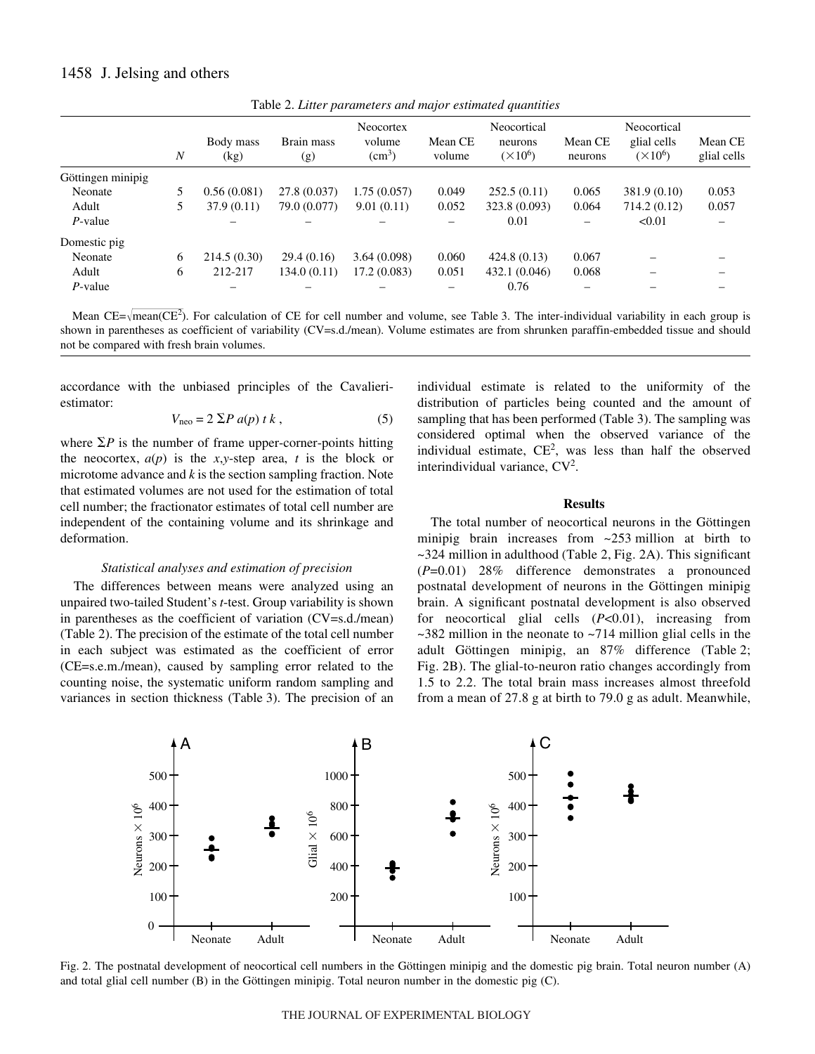# 1458 J. Jelsing and others

| $\boldsymbol{N}$  |   | Body mass<br>(kg) | <b>Neocortex</b><br>volume<br>Brain mass<br>$\text{cm}^3$ )<br>(g) |             | Mean CE<br>volume | Neocortical<br>neurons<br>$(\times 10^6)$ | Mean CE<br>neurons | Neocortical<br>glial cells<br>$(\times 10^6)$ | Mean CE<br>glial cells |  |
|-------------------|---|-------------------|--------------------------------------------------------------------|-------------|-------------------|-------------------------------------------|--------------------|-----------------------------------------------|------------------------|--|
| Göttingen minipig |   |                   |                                                                    |             |                   |                                           |                    |                                               |                        |  |
| Neonate           |   | 0.56(0.081)       | 27.8 (0.037)                                                       | 1.75(0.057) | 0.049             | 252.5(0.11)                               | 0.065              | 381.9 (0.10)                                  | 0.053                  |  |
| Adult             |   | 37.9(0.11)        | 79.0 (0.077)                                                       | 9.01(0.11)  | 0.052             | 323.8 (0.093)                             | 0.064              | 714.2(0.12)                                   | 0.057                  |  |
| $P$ -value        |   |                   |                                                                    |             |                   | 0.01                                      |                    | < 0.01                                        |                        |  |
| Domestic pig      |   |                   |                                                                    |             |                   |                                           |                    |                                               |                        |  |
| Neonate           | 6 | 214.5(0.30)       | 29.4(0.16)                                                         | 3.64(0.098) | 0.060             | 424.8(0.13)                               | 0.067              |                                               |                        |  |
| Adult             | 6 | 212-217           | 134.0(0.11)                                                        | 17.2(0.083) | 0.051             | 432.1 (0.046)                             | 0.068              |                                               |                        |  |
| $P$ -value        |   |                   |                                                                    |             |                   | 0.76                                      |                    |                                               |                        |  |

Table 2. *Litter parameters and major estimated quantities*

Mean  $CE = \sqrt{mean(CE^2)}$ . For calculation of CE for cell number and volume, see Table 3. The inter-individual variability in each group is shown in parentheses as coefficient of variability (CV=s.d./mean). Volume estimates are from shrunken paraffin-embedded tissue and should not be compared with fresh brain volumes.

accordance with the unbiased principles of the Cavalieriestimator:

$$
V_{\text{neo}} = 2 \Sigma P a(p) t k , \qquad (5)
$$

where  $\Sigma P$  is the number of frame upper-corner-points hitting the neocortex,  $a(p)$  is the *x*,*y*-step area, *t* is the block or microtome advance and *k* is the section sampling fraction. Note that estimated volumes are not used for the estimation of total cell number; the fractionator estimates of total cell number are independent of the containing volume and its shrinkage and deformation.

#### *Statistical analyses and estimation of precision*

The differences between means were analyzed using an unpaired two-tailed Student's *t*-test. Group variability is shown in parentheses as the coefficient of variation (CV=s.d./mean) (Table 2). The precision of the estimate of the total cell number in each subject was estimated as the coefficient of error (CE=s.e.m./mean), caused by sampling error related to the counting noise, the systematic uniform random sampling and variances in section thickness (Table 3). The precision of an

individual estimate is related to the uniformity of the distribution of particles being counted and the amount of sampling that has been performed (Table 3). The sampling was considered optimal when the observed variance of the individual estimate,  $CE^2$ , was less than half the observed interindividual variance,  $CV^2$ .

#### **Results**

The total number of neocortical neurons in the Göttingen minipig brain increases from  $\sim$ 253 million at birth to  $\sim$ 324 million in adulthood (Table 2, Fig. 2A). This significant (*P*=0.01) 28% difference demonstrates a pronounced postnatal development of neurons in the Göttingen minipig brain. A significant postnatal development is also observed for neocortical glial cells (*P*<0.01), increasing from  $\sim$ 382 million in the neonate to  $\sim$ 714 million glial cells in the adult Göttingen minipig, an 87% difference (Table 2; Fig. 2B). The glial-to-neuron ratio changes accordingly from 1.5 to 2.2. The total brain mass increases almost threefold from a mean of 27.8 g at birth to 79.0 g as adult. Meanwhile,



Fig. 2. The postnatal development of neocortical cell numbers in the Göttingen minipig and the domestic pig brain. Total neuron number (A) and total glial cell number (B) in the Göttingen minipig. Total neuron number in the domestic pig (C).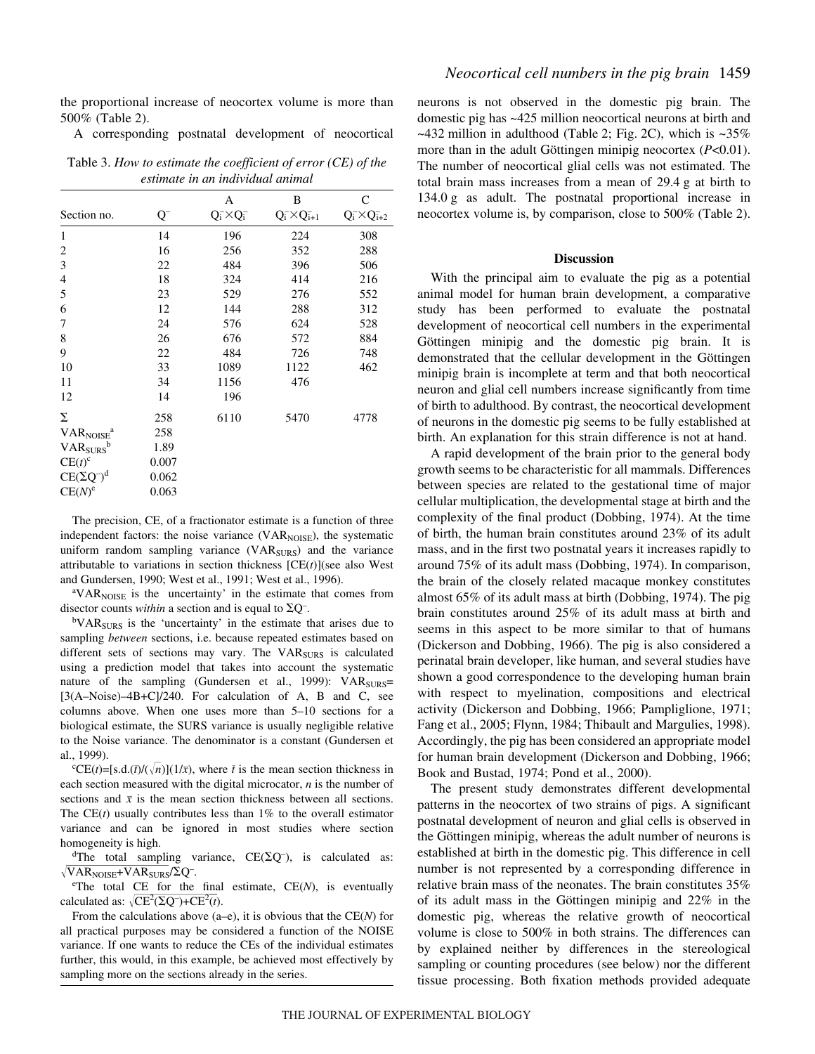the proportional increase of neocortex volume is more than 500% (Table 2).

A corresponding postnatal development of neocortical

Table 3. *How to estimate the coefficient of error (CE) of the estimate in an individual animal*

| Section no.                       | Q-    | Α<br>$Q_i^- \times Q_i^-$ | B<br>$Q_i^- \times Q_{i+1}^-$ | C<br>$Q_i^- \times Q_{i+2}^-$ |
|-----------------------------------|-------|---------------------------|-------------------------------|-------------------------------|
| 1                                 | 14    | 196                       | 224                           | 308                           |
| 2                                 | 16    | 256                       | 352                           | 288                           |
| 3                                 | 22    | 484                       | 396                           | 506                           |
| 4                                 | 18    | 324                       | 414                           | 216                           |
| 5                                 | 23    | 529                       | 276                           | 552                           |
| 6                                 | 12    | 144                       | 288                           | 312                           |
| 7                                 | 24    | 576                       | 624                           | 528                           |
| 8                                 | 26    | 676                       | 572                           | 884                           |
| 9                                 | 22    | 484                       | 726                           | 748                           |
| 10                                | 33    | 1089                      | 1122                          | 462                           |
| 11                                | 34    | 1156                      | 476                           |                               |
| 12                                | 14    | 196                       |                               |                               |
| Σ                                 | 258   | 6110                      | 5470                          | 4778                          |
| VAR <sub>NOISE</sub> <sup>a</sup> | 258   |                           |                               |                               |
| VAR <sub>SURS</sub> b             | 1.89  |                           |                               |                               |
| $CE(t)^c$                         | 0.007 |                           |                               |                               |
| $CE(\Sigma Q^-)^d$                | 0.062 |                           |                               |                               |
| $CE(N)^e$                         | 0.063 |                           |                               |                               |

The precision, CE, of a fractionator estimate is a function of three independent factors: the noise variance  $(VAR_{NOISE})$ , the systematic uniform random sampling variance  $(VAR<sub>SURS</sub>)$  and the variance attributable to variations in section thickness [CE(*t*)](see also West and Gundersen, 1990; West et al., 1991; West et al., 1996).

<sup>a</sup>VAR<sub>NOISE</sub> is the uncertainty' in the estimate that comes from disector counts *within* a section and is equal to  $\overline{\Sigma Q}$ .

<sup>b</sup>VAR<sub>SURS</sub> is the 'uncertainty' in the estimate that arises due to sampling *between* sections, i.e. because repeated estimates based on different sets of sections may vary. The VAR<sub>SURS</sub> is calculated using a prediction model that takes into account the systematic nature of the sampling (Gundersen et al., 1999):  $VAR<sub>SURS</sub>$ = [3(A–Noise)–4B+C]/240. For calculation of A, B and C, see columns above. When one uses more than 5–10 sections for a biological estimate, the SURS variance is usually negligible relative to the Noise variance. The denominator is a constant (Gundersen et al., 1999).

<sup>c</sup>CE(*t*)=[s.d.(*t*)/( $\sqrt{n}$ )](1/*x*), where *t* is the mean section thickness in each section measured with the digital microcator, *n* is the number of sections and  $\bar{x}$  is the mean section thickness between all sections. The  $CE(t)$  usually contributes less than  $1\%$  to the overall estimator variance and can be ignored in most studies where section homogeneity is high.

<sup>d</sup>The total sampling variance,  $CE(\Sigma Q^-)$ , is calculated as:  $\sqrt{\text{VAR}_{\text{NOISE}} + \text{VAR}_{\text{SURS}}}/\Sigma Q^{-}$ .

e The total CE for the final estimate, CE(*N*), is eventually calculated as:  $\sqrt{CE^2(\Sigma Q^-)+CE^2(t)}$ .

From the calculations above (a–e), it is obvious that the CE(*N*) for all practical purposes may be considered a function of the NOISE variance. If one wants to reduce the CEs of the individual estimates further, this would, in this example, be achieved most effectively by sampling more on the sections already in the series.

neurons is not observed in the domestic pig brain. The domestic pig has ~425·million neocortical neurons at birth and  $\sim$ 432 million in adulthood (Table 2; Fig. 2C), which is  $\sim$ 35% more than in the adult Göttingen minipig neocortex (*P*<0.01). The number of neocortical glial cells was not estimated. The total brain mass increases from a mean of  $29.4$  g at birth to 134.0 g as adult. The postnatal proportional increase in neocortex volume is, by comparison, close to 500% (Table 2).

#### **Discussion**

With the principal aim to evaluate the pig as a potential animal model for human brain development, a comparative study has been performed to evaluate the postnatal development of neocortical cell numbers in the experimental Göttingen minipig and the domestic pig brain. It is demonstrated that the cellular development in the Göttingen minipig brain is incomplete at term and that both neocortical neuron and glial cell numbers increase significantly from time of birth to adulthood. By contrast, the neocortical development of neurons in the domestic pig seems to be fully established at birth. An explanation for this strain difference is not at hand.

A rapid development of the brain prior to the general body growth seems to be characteristic for all mammals. Differences between species are related to the gestational time of major cellular multiplication, the developmental stage at birth and the complexity of the final product (Dobbing, 1974). At the time of birth, the human brain constitutes around 23% of its adult mass, and in the first two postnatal years it increases rapidly to around 75% of its adult mass (Dobbing, 1974). In comparison, the brain of the closely related macaque monkey constitutes almost 65% of its adult mass at birth (Dobbing, 1974). The pig brain constitutes around 25% of its adult mass at birth and seems in this aspect to be more similar to that of humans (Dickerson and Dobbing, 1966). The pig is also considered a perinatal brain developer, like human, and several studies have shown a good correspondence to the developing human brain with respect to myelination, compositions and electrical activity (Dickerson and Dobbing, 1966; Pampliglione, 1971; Fang et al., 2005; Flynn, 1984; Thibault and Margulies, 1998). Accordingly, the pig has been considered an appropriate model for human brain development (Dickerson and Dobbing, 1966; Book and Bustad, 1974; Pond et al., 2000).

The present study demonstrates different developmental patterns in the neocortex of two strains of pigs. A significant postnatal development of neuron and glial cells is observed in the Göttingen minipig, whereas the adult number of neurons is established at birth in the domestic pig. This difference in cell number is not represented by a corresponding difference in relative brain mass of the neonates. The brain constitutes 35% of its adult mass in the Göttingen minipig and 22% in the domestic pig, whereas the relative growth of neocortical volume is close to 500% in both strains. The differences can by explained neither by differences in the stereological sampling or counting procedures (see below) nor the different tissue processing. Both fixation methods provided adequate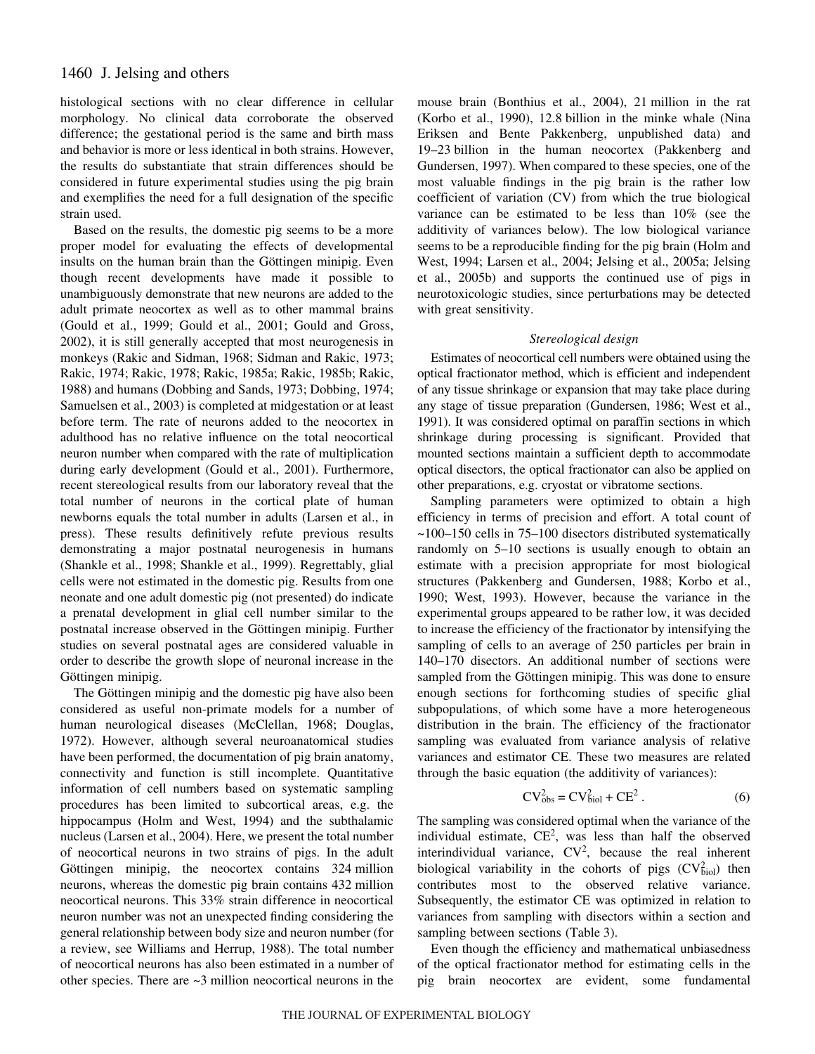histological sections with no clear difference in cellular morphology. No clinical data corroborate the observed difference; the gestational period is the same and birth mass and behavior is more or less identical in both strains. However, the results do substantiate that strain differences should be considered in future experimental studies using the pig brain and exemplifies the need for a full designation of the specific strain used.

Based on the results, the domestic pig seems to be a more proper model for evaluating the effects of developmental insults on the human brain than the Göttingen minipig. Even though recent developments have made it possible to unambiguously demonstrate that new neurons are added to the adult primate neocortex as well as to other mammal brains (Gould et al., 1999; Gould et al., 2001; Gould and Gross, 2002), it is still generally accepted that most neurogenesis in monkeys (Rakic and Sidman, 1968; Sidman and Rakic, 1973; Rakic, 1974; Rakic, 1978; Rakic, 1985a; Rakic, 1985b; Rakic, 1988) and humans (Dobbing and Sands, 1973; Dobbing, 1974; Samuelsen et al., 2003) is completed at midgestation or at least before term. The rate of neurons added to the neocortex in adulthood has no relative influence on the total neocortical neuron number when compared with the rate of multiplication during early development (Gould et al., 2001). Furthermore, recent stereological results from our laboratory reveal that the total number of neurons in the cortical plate of human newborns equals the total number in adults (Larsen et al., in press). These results definitively refute previous results demonstrating a major postnatal neurogenesis in humans (Shankle et al., 1998; Shankle et al., 1999). Regrettably, glial cells were not estimated in the domestic pig. Results from one neonate and one adult domestic pig (not presented) do indicate a prenatal development in glial cell number similar to the postnatal increase observed in the Göttingen minipig. Further studies on several postnatal ages are considered valuable in order to describe the growth slope of neuronal increase in the Göttingen minipig.

The Göttingen minipig and the domestic pig have also been considered as useful non-primate models for a number of human neurological diseases (McClellan, 1968; Douglas, 1972). However, although several neuroanatomical studies have been performed, the documentation of pig brain anatomy, connectivity and function is still incomplete. Quantitative information of cell numbers based on systematic sampling procedures has been limited to subcortical areas, e.g. the hippocampus (Holm and West, 1994) and the subthalamic nucleus (Larsen et al., 2004). Here, we present the total number of neocortical neurons in two strains of pigs. In the adult Göttingen minipig, the neocortex contains 324-million neurons, whereas the domestic pig brain contains 432 million neocortical neurons. This 33% strain difference in neocortical neuron number was not an unexpected finding considering the general relationship between body size and neuron number (for a review, see Williams and Herrup, 1988). The total number of neocortical neurons has also been estimated in a number of other species. There are  $\sim$ 3 million neocortical neurons in the

mouse brain (Bonthius et al., 2004), 21 million in the rat (Korbo et al., 1990), 12.8 billion in the minke whale (Nina) Eriksen and Bente Pakkenberg, unpublished data) and 19–23·billion in the human neocortex (Pakkenberg and Gundersen, 1997). When compared to these species, one of the most valuable findings in the pig brain is the rather low coefficient of variation (CV) from which the true biological variance can be estimated to be less than 10% (see the additivity of variances below). The low biological variance seems to be a reproducible finding for the pig brain (Holm and West, 1994; Larsen et al., 2004; Jelsing et al., 2005a; Jelsing et al., 2005b) and supports the continued use of pigs in neurotoxicologic studies, since perturbations may be detected with great sensitivity.

### *Stereological design*

Estimates of neocortical cell numbers were obtained using the optical fractionator method, which is efficient and independent of any tissue shrinkage or expansion that may take place during any stage of tissue preparation (Gundersen, 1986; West et al., 1991). It was considered optimal on paraffin sections in which shrinkage during processing is significant. Provided that mounted sections maintain a sufficient depth to accommodate optical disectors, the optical fractionator can also be applied on other preparations, e.g. cryostat or vibratome sections.

Sampling parameters were optimized to obtain a high efficiency in terms of precision and effort. A total count of ~100–150 cells in 75–100 disectors distributed systematically randomly on 5–10 sections is usually enough to obtain an estimate with a precision appropriate for most biological structures (Pakkenberg and Gundersen, 1988; Korbo et al., 1990; West, 1993). However, because the variance in the experimental groups appeared to be rather low, it was decided to increase the efficiency of the fractionator by intensifying the sampling of cells to an average of 250 particles per brain in 140–170 disectors. An additional number of sections were sampled from the Göttingen minipig. This was done to ensure enough sections for forthcoming studies of specific glial subpopulations, of which some have a more heterogeneous distribution in the brain. The efficiency of the fractionator sampling was evaluated from variance analysis of relative variances and estimator CE. These two measures are related through the basic equation (the additivity of variances):

$$
CVobs2 = CVbiol2 + CE2.
$$
 (6)

The sampling was considered optimal when the variance of the individual estimate,  $CE^2$ , was less than half the observed interindividual variance,  $CV^2$ , because the real inherent biological variability in the cohorts of pigs  $(CV_{\text{biol}}^2)$  then contributes most to the observed relative variance. Subsequently, the estimator CE was optimized in relation to variances from sampling with disectors within a section and sampling between sections (Table 3).

Even though the efficiency and mathematical unbiasedness of the optical fractionator method for estimating cells in the pig brain neocortex are evident, some fundamental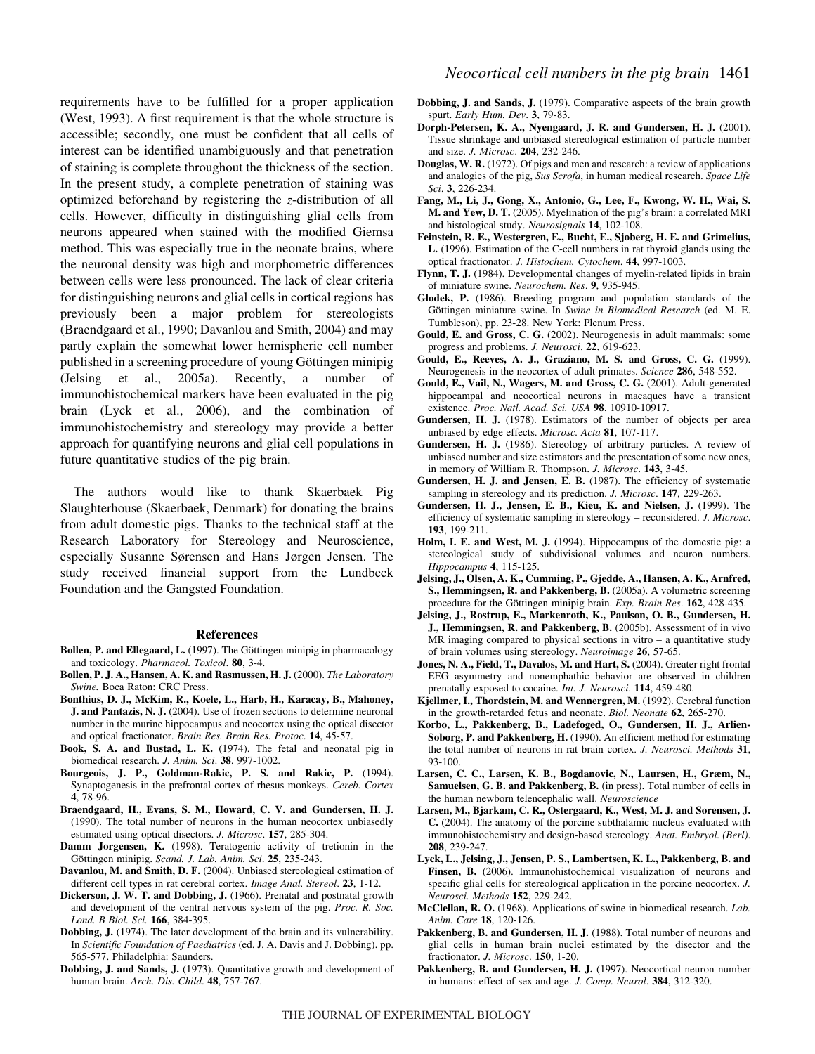requirements have to be fulfilled for a proper application (West, 1993). A first requirement is that the whole structure is accessible; secondly, one must be confident that all cells of interest can be identified unambiguously and that penetration of staining is complete throughout the thickness of the section. In the present study, a complete penetration of staining was optimized beforehand by registering the *z*-distribution of all cells. However, difficulty in distinguishing glial cells from neurons appeared when stained with the modified Giemsa method. This was especially true in the neonate brains, where the neuronal density was high and morphometric differences between cells were less pronounced. The lack of clear criteria for distinguishing neurons and glial cells in cortical regions has previously been a major problem for stereologists (Braendgaard et al., 1990; Davanlou and Smith, 2004) and may partly explain the somewhat lower hemispheric cell number published in a screening procedure of young Göttingen minipig (Jelsing et al., 2005a). Recently, a number of immunohistochemical markers have been evaluated in the pig brain (Lyck et al., 2006), and the combination of immunohistochemistry and stereology may provide a better approach for quantifying neurons and glial cell populations in future quantitative studies of the pig brain.

The authors would like to thank Skaerbaek Pig Slaughterhouse (Skaerbaek, Denmark) for donating the brains from adult domestic pigs. Thanks to the technical staff at the Research Laboratory for Stereology and Neuroscience, especially Susanne Sørensen and Hans Jørgen Jensen. The study received financial support from the Lundbeck Foundation and the Gangsted Foundation.

#### **References**

- **Bollen, P. and Ellegaard, L.** (1997). The Göttingen minipig in pharmacology and toxicology. *Pharmacol. Toxicol*. **80**, 3-4.
- **Bollen, P. J. A., Hansen, A. K. and Rasmussen, H. J.** (2000). *The Laboratory Swine.* Boca Raton: CRC Press.
- **Bonthius, D. J., McKim, R., Koele, L., Harb, H., Karacay, B., Mahoney, J. and Pantazis, N. J.** (2004). Use of frozen sections to determine neuronal number in the murine hippocampus and neocortex using the optical disector and optical fractionator. *Brain Res. Brain Res. Protoc*. **14**, 45-57.
- **Book, S. A. and Bustad, L. K.** (1974). The fetal and neonatal pig in biomedical research. *J. Anim. Sci*. **38**, 997-1002.
- **Bourgeois, J. P., Goldman-Rakic, P. S. and Rakic, P.** (1994). Synaptogenesis in the prefrontal cortex of rhesus monkeys. *Cereb. Cortex* **4**, 78-96.
- **Braendgaard, H., Evans, S. M., Howard, C. V. and Gundersen, H. J.** (1990). The total number of neurons in the human neocortex unbiasedly estimated using optical disectors. *J. Microsc*. **157**, 285-304.
- **Damm Jorgensen, K.** (1998). Teratogenic activity of tretionin in the Göttingen minipig. *Scand. J. Lab. Anim. Sci*. **25**, 235-243.
- **Davanlou, M. and Smith, D. F.** (2004). Unbiased stereological estimation of different cell types in rat cerebral cortex. *Image Anal. Stereol*. **23**, 1-12.
- **Dickerson, J. W. T. and Dobbing, J.** (1966). Prenatal and postnatal growth and development of the central nervous system of the pig. *Proc. R. Soc. Lond. B Biol. Sci.* **166**, 384-395.
- **Dobbing, J.** (1974). The later development of the brain and its vulnerability. In *Scientific Foundation of Paediatrics* (ed. J. A. Davis and J. Dobbing), pp. 565-577. Philadelphia: Saunders.
- **Dobbing, J. and Sands, J.** (1973). Quantitative growth and development of human brain. *Arch. Dis. Child*. **48**, 757-767.
- **Dobbing, J. and Sands, J.** (1979). Comparative aspects of the brain growth spurt. *Early Hum. Dev*. **3**, 79-83.
- **Dorph-Petersen, K. A., Nyengaard, J. R. and Gundersen, H. J.** (2001). Tissue shrinkage and unbiased stereological estimation of particle number and size. *J. Microsc*. **204**, 232-246.
- **Douglas, W. R.** (1972). Of pigs and men and research: a review of applications and analogies of the pig, *Sus Scrofa*, in human medical research. *Space Life Sci*. **3**, 226-234.
- **Fang, M., Li, J., Gong, X., Antonio, G., Lee, F., Kwong, W. H., Wai, S. M. and Yew, D. T.** (2005). Myelination of the pig's brain: a correlated MRI and histological study. *Neurosignals* **14**, 102-108.
- **Feinstein, R. E., Westergren, E., Bucht, E., Sjoberg, H. E. and Grimelius, L.** (1996). Estimation of the C-cell numbers in rat thyroid glands using the optical fractionator. *J. Histochem. Cytochem*. **44**, 997-1003.
- **Flynn, T. J.** (1984). Developmental changes of myelin-related lipids in brain of miniature swine. *Neurochem. Res*. **9**, 935-945.
- **Glodek, P.** (1986). Breeding program and population standards of the Göttingen miniature swine. In *Swine in Biomedical Research* (ed. M. E. Tumbleson), pp. 23-28. New York: Plenum Press.
- **Gould, E. and Gross, C. G.** (2002). Neurogenesis in adult mammals: some progress and problems. *J. Neurosci*. **22**, 619-623.
- **Gould, E., Reeves, A. J., Graziano, M. S. and Gross, C. G.** (1999). Neurogenesis in the neocortex of adult primates. *Science* **286**, 548-552.
- **Gould, E., Vail, N., Wagers, M. and Gross, C. G.** (2001). Adult-generated hippocampal and neocortical neurons in macaques have a transient existence. *Proc. Natl. Acad. Sci. USA* **98**, 10910-10917.
- **Gundersen, H. J.** (1978). Estimators of the number of objects per area unbiased by edge effects. *Microsc. Acta* **81**, 107-117.
- **Gundersen, H. J.** (1986). Stereology of arbitrary particles. A review of unbiased number and size estimators and the presentation of some new ones, in memory of William R. Thompson. *J. Microsc*. **143**, 3-45.
- **Gundersen, H. J. and Jensen, E. B.** (1987). The efficiency of systematic sampling in stereology and its prediction. *J. Microsc*. **147**, 229-263.
- **Gundersen, H. J., Jensen, E. B., Kieu, K. and Nielsen, J.** (1999). The efficiency of systematic sampling in stereology – reconsidered. *J. Microsc*. **193**, 199-211.
- **Holm, I. E. and West, M. J.** (1994). Hippocampus of the domestic pig: a stereological study of subdivisional volumes and neuron numbers. *Hippocampus* **4**, 115-125.
- **Jelsing, J., Olsen, A. K., Cumming, P., Gjedde, A., Hansen, A. K., Arnfred, S., Hemmingsen, R. and Pakkenberg, B.** (2005a). A volumetric screening procedure for the Göttingen minipig brain. *Exp. Brain Res*. **162**, 428-435.
- **Jelsing, J., Rostrup, E., Markenroth, K., Paulson, O. B., Gundersen, H. J., Hemmingsen, R. and Pakkenberg, B.** (2005b). Assessment of in vivo MR imaging compared to physical sections in vitro – a quantitative study of brain volumes using stereology. *Neuroimage* **26**, 57-65.
- **Jones, N. A., Field, T., Davalos, M. and Hart, S.** (2004). Greater right frontal EEG asymmetry and nonemphathic behavior are observed in children prenatally exposed to cocaine. *Int. J. Neurosci*. **114**, 459-480.
- **Kjellmer, I., Thordstein, M. and Wennergren, M.** (1992). Cerebral function in the growth-retarded fetus and neonate. *Biol. Neonate* **62**, 265-270.
- **Korbo, L., Pakkenberg, B., Ladefoged, O., Gundersen, H. J., Arlien-Soborg, P. and Pakkenberg, H.** (1990). An efficient method for estimating the total number of neurons in rat brain cortex. *J. Neurosci. Methods* **31**, 93-100.
- **Larsen, C. C., Larsen, K. B., Bogdanovic, N., Laursen, H., Græm, N., Samuelsen, G. B. and Pakkenberg, B.** (in press). Total number of cells in the human newborn telencephalic wall. *Neuroscience*
- **Larsen, M., Bjarkam, C. R., Ostergaard, K., West, M. J. and Sorensen, J. C.** (2004). The anatomy of the porcine subthalamic nucleus evaluated with immunohistochemistry and design-based stereology. *Anat. Embryol. (Berl)*. **208**, 239-247.
- **Lyck, L., Jelsing, J., Jensen, P. S., Lambertsen, K. L., Pakkenberg, B. and Finsen, B.** (2006). Immunohistochemical visualization of neurons and specific glial cells for stereological application in the porcine neocortex. *J. Neurosci. Methods* **152**, 229-242.
- **McClellan, R. O.** (1968). Applications of swine in biomedical research. *Lab. Anim. Care* **18**, 120-126.
- Pakkenberg, B. and Gundersen, H. J. (1988). Total number of neurons and glial cells in human brain nuclei estimated by the disector and the fractionator. *J. Microsc*. **150**, 1-20.
- Pakkenberg, B. and Gundersen, H. J. (1997). Neocortical neuron number in humans: effect of sex and age. *J. Comp. Neurol*. **384**, 312-320.